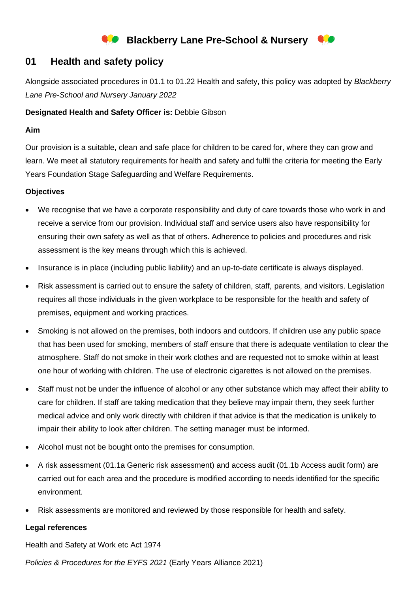# **Blackberry Lane Pre-School & Nursery**

# **01 Health and safety policy**

Alongside associated procedures in 01.1 to 01.22 Health and safety, this policy was adopted by *Blackberry Lane Pre-School and Nursery January 2022*

### **Designated Health and Safety Officer is:** Debbie Gibson

#### **Aim**

Our provision is a suitable, clean and safe place for children to be cared for, where they can grow and learn. We meet all statutory requirements for health and safety and fulfil the criteria for meeting the Early Years Foundation Stage Safeguarding and Welfare Requirements.

#### **Objectives**

- We recognise that we have a corporate responsibility and duty of care towards those who work in and receive a service from our provision. Individual staff and service users also have responsibility for ensuring their own safety as well as that of others. Adherence to policies and procedures and risk assessment is the key means through which this is achieved.
- Insurance is in place (including public liability) and an up-to-date certificate is always displayed.
- Risk assessment is carried out to ensure the safety of children, staff, parents, and visitors. Legislation requires all those individuals in the given workplace to be responsible for the health and safety of premises, equipment and working practices.
- Smoking is not allowed on the premises, both indoors and outdoors. If children use any public space that has been used for smoking, members of staff ensure that there is adequate ventilation to clear the atmosphere. Staff do not smoke in their work clothes and are requested not to smoke within at least one hour of working with children. The use of electronic cigarettes is not allowed on the premises.
- Staff must not be under the influence of alcohol or any other substance which may affect their ability to care for children. If staff are taking medication that they believe may impair them, they seek further medical advice and only work directly with children if that advice is that the medication is unlikely to impair their ability to look after children. The setting manager must be informed.
- Alcohol must not be bought onto the premises for consumption.
- A risk assessment (01.1a Generic risk assessment) and access audit (01.1b Access audit form) are carried out for each area and the procedure is modified according to needs identified for the specific environment.
- Risk assessments are monitored and reviewed by those responsible for health and safety.

## **Legal references**

Health and Safety at Work etc Act 1974

*Policies & Procedures for the EYFS 2021* (Early Years Alliance 2021)